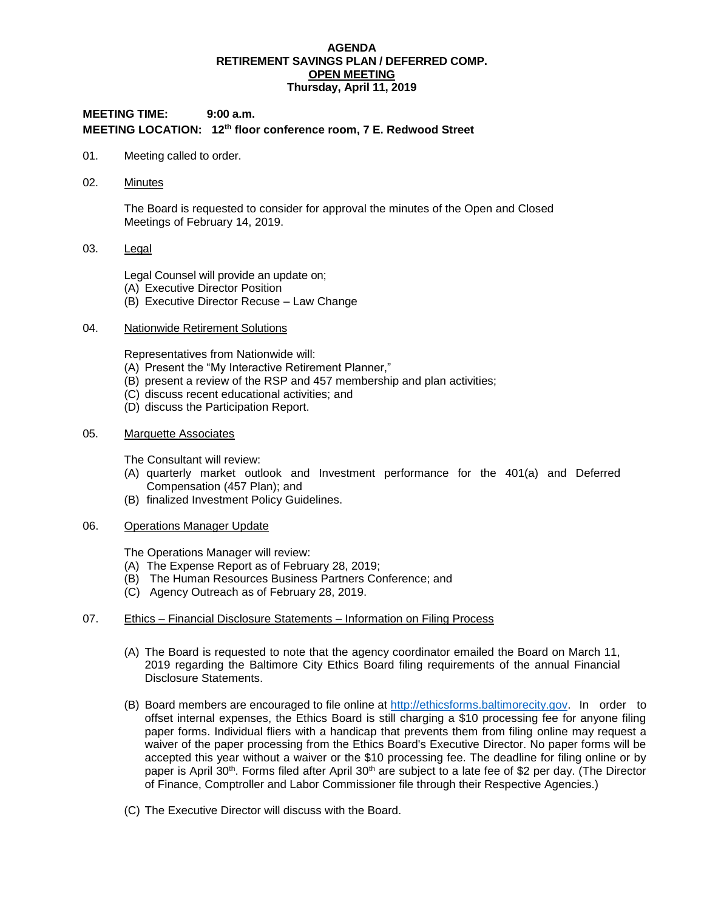#### **AGENDA RETIREMENT SAVINGS PLAN / DEFERRED COMP. OPEN MEETING Thursday, April 11, 2019**

# **MEETING TIME: 9:00 a.m. MEETING LOCATION: 12th floor conference room, 7 E. Redwood Street**

- 01. Meeting called to order.
- 02. Minutes

The Board is requested to consider for approval the minutes of the Open and Closed Meetings of February 14, 2019.

### 03. Legal

Legal Counsel will provide an update on;

- (A) Executive Director Position
- (B) Executive Director Recuse Law Change

### 04. Nationwide Retirement Solutions

Representatives from Nationwide will:

- (A) Present the "My Interactive Retirement Planner,"
- (B) present a review of the RSP and 457 membership and plan activities;
- (C) discuss recent educational activities; and
- (D) discuss the Participation Report.

#### 05. Marquette Associates

The Consultant will review:

- (A) quarterly market outlook and Investment performance for the 401(a) and Deferred Compensation (457 Plan); and
- (B) finalized Investment Policy Guidelines.
- 06. Operations Manager Update

The Operations Manager will review:

- (A) The Expense Report as of February 28, 2019;
- (B) The Human Resources Business Partners Conference; and
- (C) Agency Outreach as of February 28, 2019.

### 07. Ethics – Financial Disclosure Statements – Information on Filing Process

- (A) The Board is requested to note that the agency coordinator emailed the Board on March 11, 2019 regarding the Baltimore City Ethics Board filing requirements of the annual Financial Disclosure Statements.
- (B) Board members are encouraged to file online at [http://ethicsforms.baltimorecity.gov.](http://ethicsforms.baltimorecity.gov/) In order to offset internal expenses, the Ethics Board is still charging a \$10 processing fee for anyone filing paper forms. Individual fliers with a handicap that prevents them from filing online may request a waiver of the paper processing from the Ethics Board's Executive Director. No paper forms will be accepted this year without a waiver or the \$10 processing fee. The deadline for filing online or by paper is April 30<sup>th</sup>. Forms filed after April 30<sup>th</sup> are subject to a late fee of \$2 per day. (The Director of Finance, Comptroller and Labor Commissioner file through their Respective Agencies.)
- (C) The Executive Director will discuss with the Board.